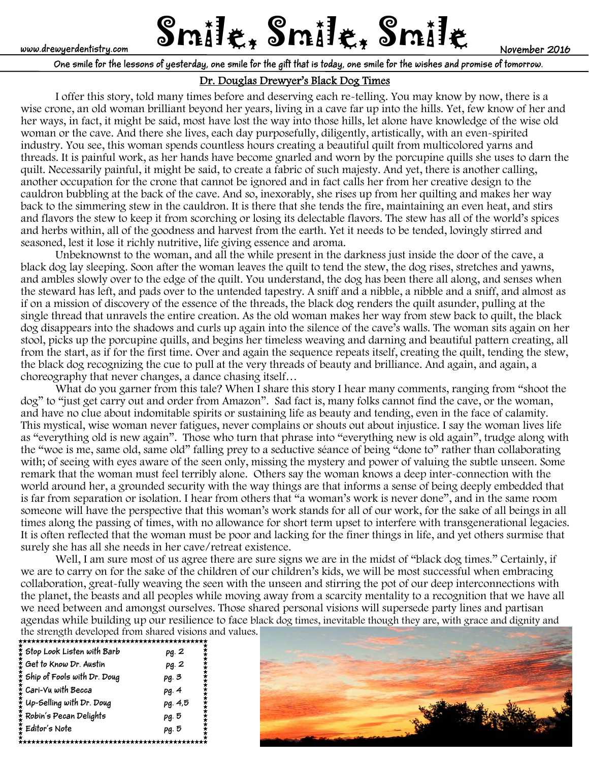# www.drewyerdentistry.com **Smille, Smille, Smille,** smille

**One smile for the lessons of yesterday, one smile for the gift that is today, one smile for the wishes and promise of tomorrow.**

## Dr. Douglas Drewyer's Black Dog Times

 I offer this story, told many times before and deserving each re-telling. You may know by now, there is a wise crone, an old woman brilliant beyond her years, living in a cave far up into the hills. Yet, few know of her and her ways, in fact, it might be said, most have lost the way into those hills, let alone have knowledge of the wise old woman or the cave. And there she lives, each day purposefully, diligently, artistically, with an even-spirited industry. You see, this woman spends countless hours creating a beautiful quilt from multicolored yarns and threads. It is painful work, as her hands have become gnarled and worn by the porcupine quills she uses to darn the quilt. Necessarily painful, it might be said, to create a fabric of such majesty. And yet, there is another calling, another occupation for the crone that cannot be ignored and in fact calls her from her creative design to the cauldron bubbling at the back of the cave. And so, inexorably, she rises up from her quilting and makes her way back to the simmering stew in the cauldron. It is there that she tends the fire, maintaining an even heat, and stirs and flavors the stew to keep it from scorching or losing its delectable flavors. The stew has all of the world's spices and herbs within, all of the goodness and harvest from the earth. Yet it needs to be tended, lovingly stirred and seasoned, lest it lose it richly nutritive, life giving essence and aroma.

 Unbeknownst to the woman, and all the while present in the darkness just inside the door of the cave, a black dog lay sleeping. Soon after the woman leaves the quilt to tend the stew, the dog rises, stretches and yawns, and ambles slowly over to the edge of the quilt. You understand, the dog has been there all along, and senses when the steward has left, and pads over to the untended tapestry. A sniff and a nibble, a nibble and a sniff, and almost as if on a mission of discovery of the essence of the threads, the black dog renders the quilt asunder, pulling at the single thread that unravels the entire creation. As the old woman makes her way from stew back to quilt, the black dog disappears into the shadows and curls up again into the silence of the cave's walls. The woman sits again on her stool, picks up the porcupine quills, and begins her timeless weaving and darning and beautiful pattern creating, all from the start, as if for the first time. Over and again the sequence repeats itself, creating the quilt, tending the stew, the black dog recognizing the cue to pull at the very threads of beauty and brilliance. And again, and again, a choreography that never changes, a dance chasing itself…

 What do you garner from this tale? When I share this story I hear many comments, ranging from "shoot the dog" to "just get carry out and order from Amazon". Sad fact is, many folks cannot find the cave, or the woman, and have no clue about indomitable spirits or sustaining life as beauty and tending, even in the face of calamity. This mystical, wise woman never fatigues, never complains or shouts out about injustice. I say the woman lives life as "everything old is new again". Those who turn that phrase into "everything new is old again", trudge along with the "woe is me, same old, same old" falling prey to a seductive séance of being "done to" rather than collaborating with; of seeing with eyes aware of the seen only, missing the mystery and power of valuing the subtle unseen. Some remark that the woman must feel terribly alone. Others say the woman knows a deep inter-connection with the world around her, a grounded security with the way things are that informs a sense of being deeply embedded that is far from separation or isolation. I hear from others that "a woman's work is never done", and in the same room someone will have the perspective that this woman's work stands for all of our work, for the sake of all beings in all times along the passing of times, with no allowance for short term upset to interfere with transgenerational legacies. It is often reflected that the woman must be poor and lacking for the finer things in life, and yet others surmise that surely she has all she needs in her cave/retreat existence.

 Well, I am sure most of us agree there are sure signs we are in the midst of "black dog times." Certainly, if we are to carry on for the sake of the children of our children's kids, we will be most successful when embracing collaboration, great-fully weaving the seen with the unseen and stirring the pot of our deep interconnections with the planet, the beasts and all peoples while moving away from a scarcity mentality to a recognition that we have all we need between and amongst ourselves. Those shared personal visions will supersede party lines and partisan agendas while building up our resilience to face black dog times, inevitable though they are, with grace and dignity and the strength developed from shared visions and values.

| $\frac{\pi}{\star}$ Stop Look Listen with Barb | pg. 2   |
|------------------------------------------------|---------|
| $\frac{\pi}{4}$ Get to Know Dr. Austin         | pq.2    |
| $\frac{1}{2}$ Ship of Fools with Dr. Doug      | pg. 3   |
| $\frac{\tilde{x}}{2}$ Cari-Vu with Becca       | pg. 4   |
| $\frac{\pi}{4}$ Up-Selling with Dr. Doug       | pg. 4,5 |
| * Robin's Pecan Delights                       | pg. 5   |
| Fditor's Note بج                               | pg. 5   |
|                                                |         |

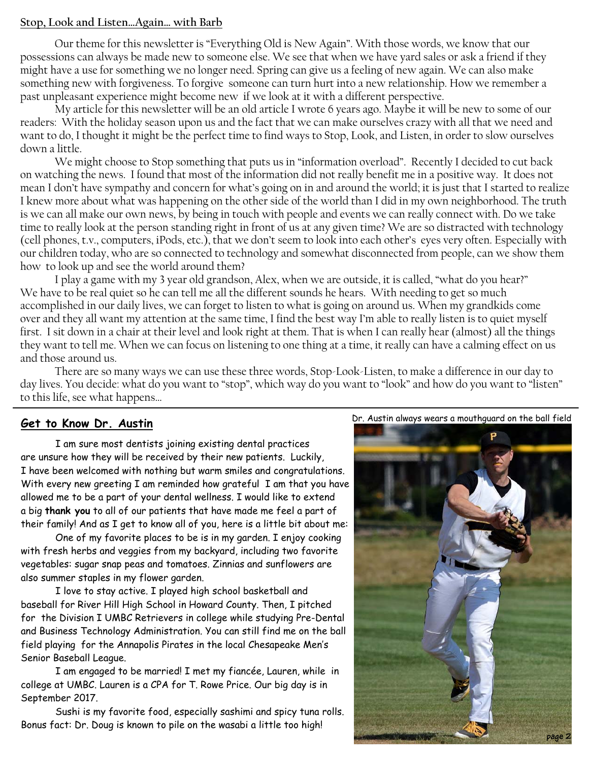## **Stop, Look and Listen…Again… with Barb**

 Our theme for this newsletter is "Everything Old is New Again". With those words, we know that our possessions can always be made new to someone else. We see that when we have yard sales or ask a friend if they might have a use for something we no longer need. Spring can give us a feeling of new again. We can also make something new with forgiveness. To forgive someone can turn hurt into a new relationship. How we remember a past unpleasant experience might become new if we look at it with a different perspective.

 My article for this newsletter will be an old article I wrote 6 years ago. Maybe it will be new to some of our readers: With the holiday season upon us and the fact that we can make ourselves crazy with all that we need and want to do, I thought it might be the perfect time to find ways to Stop, Look, and Listen, in order to slow ourselves down a little.

 We might choose to Stop something that puts us in "information overload". Recently I decided to cut back on watching the news. I found that most of the information did not really benefit me in a positive way. It does not mean I don't have sympathy and concern for what's going on in and around the world; it is just that I started to realize I knew more about what was happening on the other side of the world than I did in my own neighborhood. The truth is we can all make our own news, by being in touch with people and events we can really connect with. Do we take time to really look at the person standing right in front of us at any given time? We are so distracted with technology (cell phones, t.v., computers, iPods, etc.), that we don't seem to look into each other's eyes very often. Especially with our children today, who are so connected to technology and somewhat disconnected from people, can we show them how to look up and see the world around them?

 I play a game with my 3 year old grandson, Alex, when we are outside, it is called, "what do you hear?" We have to be real quiet so he can tell me all the different sounds he hears. With needing to get so much accomplished in our daily lives, we can forget to listen to what is going on around us. When my grandkids come over and they all want my attention at the same time, I find the best way I'm able to really listen is to quiet myself first. I sit down in a chair at their level and look right at them. That is when I can really hear (almost) all the things they want to tell me. When we can focus on listening to one thing at a time, it really can have a calming effect on us and those around us.

 There are so many ways we can use these three words, Stop-Look-Listen, to make a difference in our day to day lives. You decide: what do you want to "stop", which way do you want to "look" and how do you want to "listen" to this life, see what happens…

## **Get to Know Dr. Austin**

I am sure most dentists joining existing dental practices are unsure how they will be received by their new patients. Luckily, I have been welcomed with nothing but warm smiles and congratulations. With every new greeting I am reminded how grateful I am that you have allowed me to be a part of your dental wellness. I would like to extend a big **thank you** to all of our patients that have made me feel a part of their family! And as I get to know all of you, here is a little bit about me:

 One of my favorite places to be is in my garden. I enjoy cooking with fresh herbs and veggies from my backyard, including two favorite vegetables: sugar snap peas and tomatoes. Zinnias and sunflowers are also summer staples in my flower garden.

 I love to stay active. I played high school basketball and baseball for River Hill High School in Howard County. Then, I pitched for the Division I UMBC Retrievers in college while studying Pre-Dental and Business Technology Administration. You can still find me on the ball field playing for the Annapolis Pirates in the local Chesapeake Men's Senior Baseball League.

 I am engaged to be married! I met my fiancée, Lauren, while in college at UMBC. Lauren is a CPA for T. Rowe Price. Our big day is in September 2017.

 Sushi is my favorite food, especially sashimi and spicy tuna rolls. Bonus fact: Dr. Doug is known to pile on the wasabi a little too high!

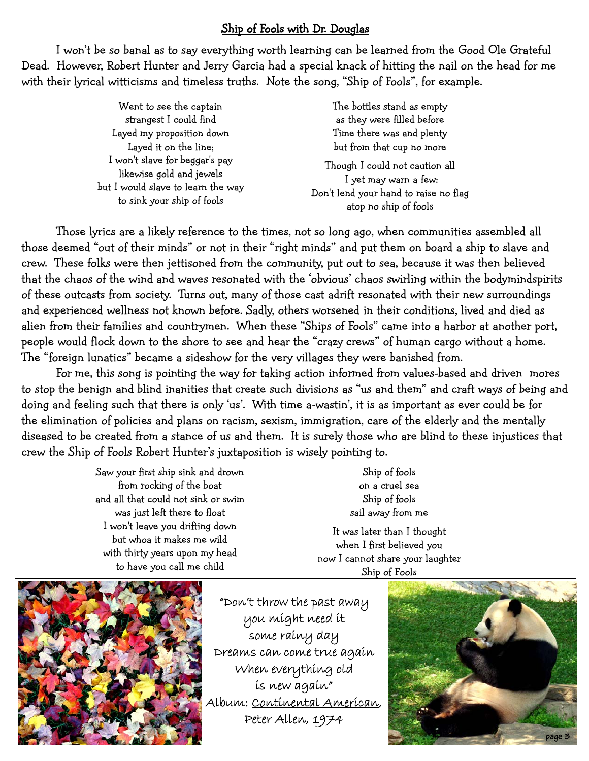## Ship of Fools with Dr. Douglas

 I won't be so banal as to say everything worth learning can be learned from the Good Ole Grateful Dead. However, Robert Hunter and Jerry Garcia had a special knack of hitting the nail on the head for me with their lyrical witticisms and timeless truths. Note the song, "Ship of Fools", for example.

| Went to see the captain                                                                                                        | The bottles stand as empty                                                                                                |
|--------------------------------------------------------------------------------------------------------------------------------|---------------------------------------------------------------------------------------------------------------------------|
| strangest I could find                                                                                                         | as they were filled before                                                                                                |
| Layed my proposition down                                                                                                      | Time there was and plenty                                                                                                 |
| Layed it on the line;                                                                                                          | but from that cup no more                                                                                                 |
| I won't slave for beggar's pay<br>likewise gold and jewels<br>but I would slave to learn the way<br>to sink your ship of fools | Though I could not caution all<br>I yet may warn a few:<br>Don't lend your hand to raise no flag<br>atop no ship of fools |

 Those lyrics are a likely reference to the times, not so long ago, when communities assembled all those deemed "out of their minds" or not in their "right minds" and put them on board a ship to slave and crew. These folks were then jettisoned from the community, put out to sea, because it was then believed that the chaos of the wind and waves resonated with the 'obvious' chaos swirling within the bodymindspirits of these outcasts from society. Turns out, many of those cast adrift resonated with their new surroundings and experienced wellness not known before. Sadly, others worsened in their conditions, lived and died as alien from their families and countrymen. When these "Ships of Fools" came into a harbor at another port, people would flock down to the shore to see and hear the "crazy crews" of human cargo without a home. The "foreign lunatics" became a sideshow for the very villages they were banished from.

 For me, this song is pointing the way for taking action informed from values-based and driven mores to stop the benign and blind inanities that create such divisions as "us and them" and craft ways of being and doing and feeling such that there is only 'us'. With time a-wastin', it is as important as ever could be for the elimination of policies and plans on racism, sexism, immigration, care of the elderly and the mentally diseased to be created from a stance of us and them. It is surely those who are blind to these injustices that crew the Ship of Fools Robert Hunter's juxtaposition is wisely pointing to.

> Saw your first ship sink and drown from rocking of the boat and all that could not sink or swim was just left there to float I won't leave you drifting down but whoa it makes me wild with thirty years upon my head to have you call me child

Ship of fools on a cruel sea Ship of fools sail away from me

It was later than I thought when I first believed you now I cannot share your laughter Ship of Fools



"Don't throw the past away you might need it some rainy day Dreams can come true again When everything old is new again" Album: Continental American, Peter Allen, 1974

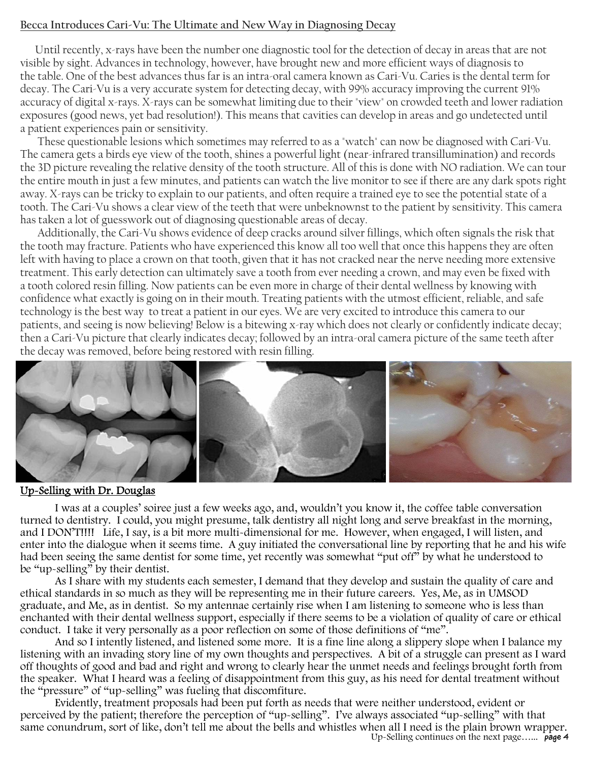## **Becca Introduces Cari-Vu: The Ultimate and New Way in Diagnosing Decay**

 Until recently, x-rays have been the number one diagnostic tool for the detection of decay in areas that are not visible by sight. Advances in technology, however, have brought new and more efficient ways of diagnosis to the table. One of the best advances thus far is an intra-oral camera known as Cari-Vu. Caries is the dental term for decay. The Cari-Vu is a very accurate system for detecting decay, with 99% accuracy improving the current 91% accuracy of digital x-rays. X-rays can be somewhat limiting due to their "view" on crowded teeth and lower radiation exposures (good news, yet bad resolution!). This means that cavities can develop in areas and go undetected until a patient experiences pain or sensitivity.

 These questionable lesions which sometimes may referred to as a "watch" can now be diagnosed with Cari-Vu. The camera gets a birds eye view of the tooth, shines a powerful light (near-infrared transillumination) and records the 3D picture revealing the relative density of the tooth structure. All of this is done with NO radiation. We can tour the entire mouth in just a few minutes, and patients can watch the live monitor to see if there are any dark spots right away. X-rays can be tricky to explain to our patients, and often require a trained eye to see the potential state of a tooth. The Cari-Vu shows a clear view of the teeth that were unbeknownst to the patient by sensitivity. This camera has taken a lot of guesswork out of diagnosing questionable areas of decay.

 Additionally, the Cari-Vu shows evidence of deep cracks around silver fillings, which often signals the risk that the tooth may fracture. Patients who have experienced this know all too well that once this happens they are often left with having to place a crown on that tooth, given that it has not cracked near the nerve needing more extensive treatment. This early detection can ultimately save a tooth from ever needing a crown, and may even be fixed with a tooth colored resin filling. Now patients can be even more in charge of their dental wellness by knowing with confidence what exactly is going on in their mouth. Treating patients with the utmost efficient, reliable, and safe technology is the best way to treat a patient in our eyes. We are very excited to introduce this camera to our patients, and seeing is now believing! Below is a bitewing x-ray which does not clearly or confidently indicate decay; then a Cari-Vu picture that clearly indicates decay; followed by an intra-oral camera picture of the same teeth after the decay was removed, before being restored with resin filling.



#### Up-Selling with Dr. Douglas

 I was at a couples' soiree just a few weeks ago, and, wouldn't you know it, the coffee table conversation turned to dentistry. I could, you might presume, talk dentistry all night long and serve breakfast in the morning, and I DON'T!!!! Life, I say, is a bit more multi-dimensional for me. However, when engaged, I will listen, and enter into the dialogue when it seems time. A guy initiated the conversational line by reporting that he and his wife had been seeing the same dentist for some time, yet recently was somewhat "put off" by what he understood to be "up-selling" by their dentist.

 As I share with my students each semester, I demand that they develop and sustain the quality of care and ethical standards in so much as they will be representing me in their future careers. Yes, Me, as in UMSOD graduate, and Me, as in dentist. So my antennae certainly rise when I am listening to someone who is less than enchanted with their dental wellness support, especially if there seems to be a violation of quality of care or ethical conduct. I take it very personally as a poor reflection on some of those definitions of "me".

 And so I intently listened, and listened some more. It is a fine line along a slippery slope when I balance my listening with an invading story line of my own thoughts and perspectives. A bit of a struggle can present as I ward off thoughts of good and bad and right and wrong to clearly hear the unmet needs and feelings brought forth from the speaker. What I heard was a feeling of disappointment from this guy, as his need for dental treatment without the "pressure" of "up-selling" was fueling that discomfiture.

Up-Selling continues on the next page…... **page 4**  Evidently, treatment proposals had been put forth as needs that were neither understood, evident or perceived by the patient; therefore the perception of "up-selling". I've always associated "up-selling" with that same conundrum, sort of like, don't tell me about the bells and whistles when all I need is the plain brown wrapper.